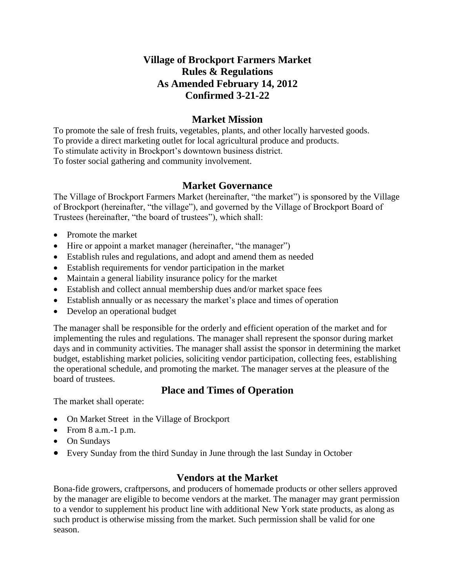## **Village of Brockport Farmers Market Rules & Regulations As Amended February 14, 2012 Confirmed 3-21-22**

### **Market Mission**

To promote the sale of fresh fruits, vegetables, plants, and other locally harvested goods. To provide a direct marketing outlet for local agricultural produce and products. To stimulate activity in Brockport's downtown business district. To foster social gathering and community involvement.

### **Market Governance**

The Village of Brockport Farmers Market (hereinafter, "the market") is sponsored by the Village of Brockport (hereinafter, "the village"), and governed by the Village of Brockport Board of Trustees (hereinafter, "the board of trustees"), which shall:

- Promote the market
- Hire or appoint a market manager (hereinafter, "the manager")
- Establish rules and regulations, and adopt and amend them as needed
- Establish requirements for vendor participation in the market
- Maintain a general liability insurance policy for the market
- Establish and collect annual membership dues and/or market space fees
- Establish annually or as necessary the market's place and times of operation
- Develop an operational budget

The manager shall be responsible for the orderly and efficient operation of the market and for implementing the rules and regulations. The manager shall represent the sponsor during market days and in community activities. The manager shall assist the sponsor in determining the market budget, establishing market policies, soliciting vendor participation, collecting fees, establishing the operational schedule, and promoting the market. The manager serves at the pleasure of the board of trustees.

## **Place and Times of Operation**

The market shall operate:

- On Market Street in the Village of Brockport
- From  $8$  a.m.-1 p.m.
- On Sundays
- Every Sunday from the third Sunday in June through the last Sunday in October

## **Vendors at the Market**

Bona-fide growers, craftpersons, and producers of homemade products or other sellers approved by the manager are eligible to become vendors at the market. The manager may grant permission to a vendor to supplement his product line with additional New York state products, as along as such product is otherwise missing from the market. Such permission shall be valid for one season.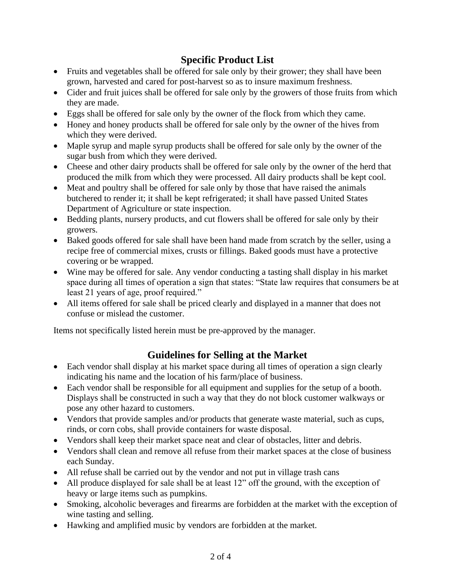# **Specific Product List**

- Fruits and vegetables shall be offered for sale only by their grower; they shall have been grown, harvested and cared for post-harvest so as to insure maximum freshness.
- Cider and fruit juices shall be offered for sale only by the growers of those fruits from which they are made.
- Eggs shall be offered for sale only by the owner of the flock from which they came.
- Honey and honey products shall be offered for sale only by the owner of the hives from which they were derived.
- Maple syrup and maple syrup products shall be offered for sale only by the owner of the sugar bush from which they were derived.
- Cheese and other dairy products shall be offered for sale only by the owner of the herd that produced the milk from which they were processed. All dairy products shall be kept cool.
- Meat and poultry shall be offered for sale only by those that have raised the animals butchered to render it; it shall be kept refrigerated; it shall have passed United States Department of Agriculture or state inspection.
- Bedding plants, nursery products, and cut flowers shall be offered for sale only by their growers.
- Baked goods offered for sale shall have been hand made from scratch by the seller, using a recipe free of commercial mixes, crusts or fillings. Baked goods must have a protective covering or be wrapped.
- Wine may be offered for sale. Any vendor conducting a tasting shall display in his market space during all times of operation a sign that states: "State law requires that consumers be at least 21 years of age, proof required."
- All items offered for sale shall be priced clearly and displayed in a manner that does not confuse or mislead the customer.

Items not specifically listed herein must be pre-approved by the manager.

## **Guidelines for Selling at the Market**

- Each vendor shall display at his market space during all times of operation a sign clearly indicating his name and the location of his farm/place of business.
- Each vendor shall be responsible for all equipment and supplies for the setup of a booth. Displays shall be constructed in such a way that they do not block customer walkways or pose any other hazard to customers.
- Vendors that provide samples and/or products that generate waste material, such as cups, rinds, or corn cobs, shall provide containers for waste disposal.
- Vendors shall keep their market space neat and clear of obstacles, litter and debris.
- Vendors shall clean and remove all refuse from their market spaces at the close of business each Sunday.
- All refuse shall be carried out by the vendor and not put in village trash cans
- All produce displayed for sale shall be at least 12" off the ground, with the exception of heavy or large items such as pumpkins.
- Smoking, alcoholic beverages and firearms are forbidden at the market with the exception of wine tasting and selling.
- Hawking and amplified music by vendors are forbidden at the market.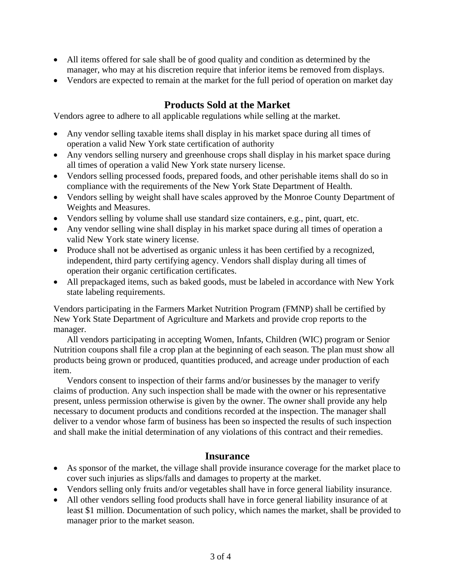- All items offered for sale shall be of good quality and condition as determined by the manager, who may at his discretion require that inferior items be removed from displays.
- Vendors are expected to remain at the market for the full period of operation on market day

## **Products Sold at the Market**

Vendors agree to adhere to all applicable regulations while selling at the market.

- Any vendor selling taxable items shall display in his market space during all times of operation a valid New York state certification of authority
- Any vendors selling nursery and greenhouse crops shall display in his market space during all times of operation a valid New York state nursery license.
- Vendors selling processed foods, prepared foods, and other perishable items shall do so in compliance with the requirements of the New York State Department of Health.
- Vendors selling by weight shall have scales approved by the Monroe County Department of Weights and Measures.
- Vendors selling by volume shall use standard size containers, e.g., pint, quart, etc.
- Any vendor selling wine shall display in his market space during all times of operation a valid New York state winery license.
- Produce shall not be advertised as organic unless it has been certified by a recognized, independent, third party certifying agency. Vendors shall display during all times of operation their organic certification certificates.
- All prepackaged items, such as baked goods, must be labeled in accordance with New York state labeling requirements.

Vendors participating in the Farmers Market Nutrition Program (FMNP) shall be certified by New York State Department of Agriculture and Markets and provide crop reports to the manager.

All vendors participating in accepting Women, Infants, Children (WIC) program or Senior Nutrition coupons shall file a crop plan at the beginning of each season. The plan must show all products being grown or produced, quantities produced, and acreage under production of each item.

Vendors consent to inspection of their farms and/or businesses by the manager to verify claims of production. Any such inspection shall be made with the owner or his representative present, unless permission otherwise is given by the owner. The owner shall provide any help necessary to document products and conditions recorded at the inspection. The manager shall deliver to a vendor whose farm of business has been so inspected the results of such inspection and shall make the initial determination of any violations of this contract and their remedies.

### **Insurance**

- As sponsor of the market, the village shall provide insurance coverage for the market place to cover such injuries as slips/falls and damages to property at the market.
- Vendors selling only fruits and/or vegetables shall have in force general liability insurance.
- All other vendors selling food products shall have in force general liability insurance of at least \$1 million. Documentation of such policy, which names the market, shall be provided to manager prior to the market season.